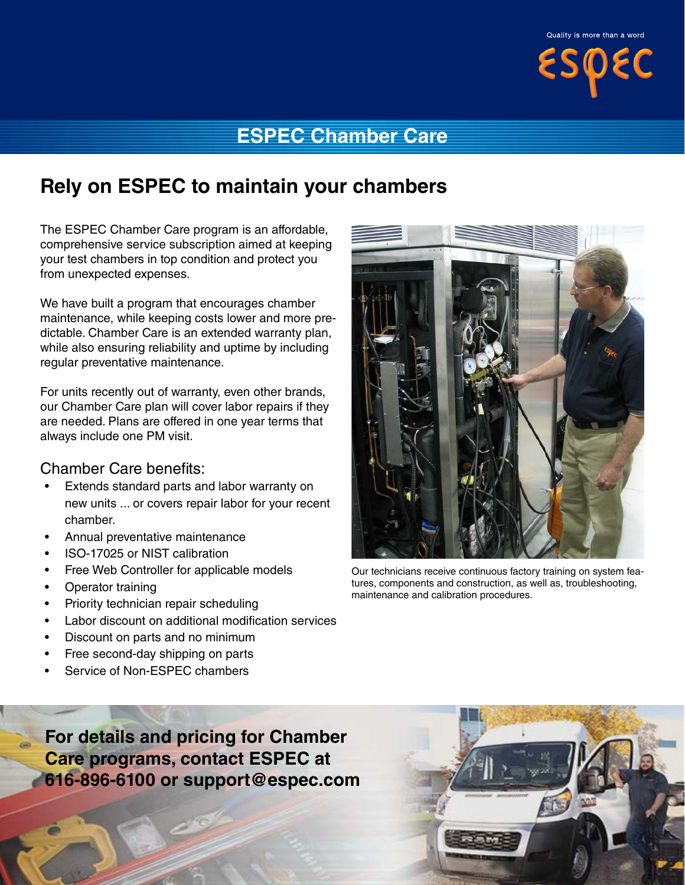

### **ESPEC Chamber Care**

## **Rely on ESPEC to maintain your chambers**

The ESPEC Chamber Care program is an affordable, comprehensive service subscription aimed at keeping your test chambers in top condition and protect you from unexpected expenses.

We have built a program that encourages chamber maintenance, while keeping costs lower and more predictable. Chamber Care is an extended warranty plan, while also ensuring reliability and uptime by including regular preventative maintenance.

For units recently out of warranty, even other brands, our Chamber Care plan will cover labor repairs if they are needed. Plans are offered in one year terms that always include one PM visit.

### Chamber Care benefits:

- Extends standard parts and labor warranty on new units ... or covers repair labor for your recent chamber.
- Annual preventative maintenance
- ISO-17025 or NIST calibration
- Free Web Controller for applicable models
- Operator training
- Priority technician repair scheduling
- Labor discount on additional modification services
- Discount on parts and no minimum
- Free second-day shipping on parts
- Service of Non-ESPEC chambers

**For details and pricing for Chamber Care programs, contact ESPEC at 616-896-6100 or support@espec.com**





Our technicians receive continuous factory training on system features, components and construction, as well as, troubleshooting, maintenance and calibration procedures.